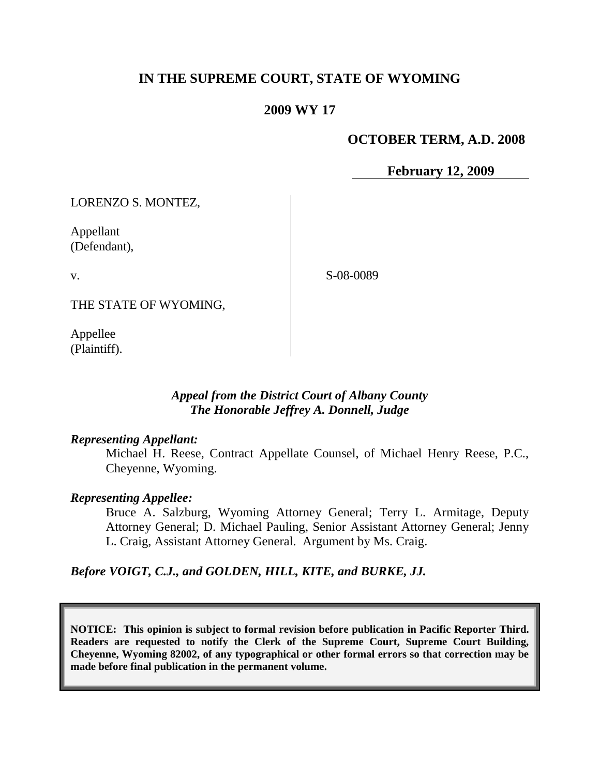# **IN THE SUPREME COURT, STATE OF WYOMING**

## **2009 WY 17**

### **OCTOBER TERM, A.D. 2008**

**February 12, 2009**

LORENZO S. MONTEZ,

Appellant (Defendant),

v.

S-08-0089

THE STATE OF WYOMING,

Appellee (Plaintiff).

## *Appeal from the District Court of Albany County The Honorable Jeffrey A. Donnell, Judge*

#### *Representing Appellant:*

Michael H. Reese, Contract Appellate Counsel, of Michael Henry Reese, P.C., Cheyenne, Wyoming.

#### *Representing Appellee:*

Bruce A. Salzburg, Wyoming Attorney General; Terry L. Armitage, Deputy Attorney General; D. Michael Pauling, Senior Assistant Attorney General; Jenny L. Craig, Assistant Attorney General. Argument by Ms. Craig.

*Before VOIGT, C.J., and GOLDEN, HILL, KITE, and BURKE, JJ.*

**NOTICE: This opinion is subject to formal revision before publication in Pacific Reporter Third. Readers are requested to notify the Clerk of the Supreme Court, Supreme Court Building, Cheyenne, Wyoming 82002, of any typographical or other formal errors so that correction may be made before final publication in the permanent volume.**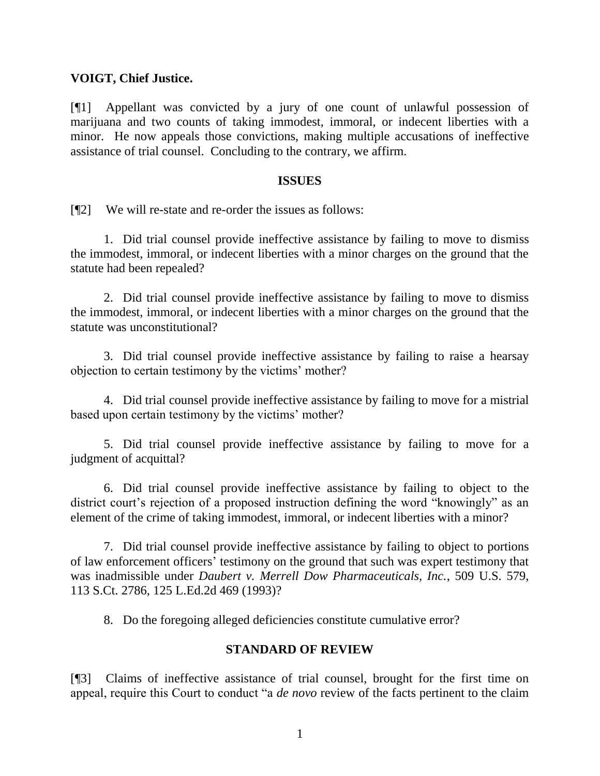### **VOIGT, Chief Justice.**

[¶1] Appellant was convicted by a jury of one count of unlawful possession of marijuana and two counts of taking immodest, immoral, or indecent liberties with a minor. He now appeals those convictions, making multiple accusations of ineffective assistance of trial counsel. Concluding to the contrary, we affirm.

#### **ISSUES**

[¶2] We will re-state and re-order the issues as follows:

1. Did trial counsel provide ineffective assistance by failing to move to dismiss the immodest, immoral, or indecent liberties with a minor charges on the ground that the statute had been repealed?

2. Did trial counsel provide ineffective assistance by failing to move to dismiss the immodest, immoral, or indecent liberties with a minor charges on the ground that the statute was unconstitutional?

3. Did trial counsel provide ineffective assistance by failing to raise a hearsay objection to certain testimony by the victims' mother?

4. Did trial counsel provide ineffective assistance by failing to move for a mistrial based upon certain testimony by the victims' mother?

5. Did trial counsel provide ineffective assistance by failing to move for a judgment of acquittal?

6. Did trial counsel provide ineffective assistance by failing to object to the district court's rejection of a proposed instruction defining the word "knowingly" as an element of the crime of taking immodest, immoral, or indecent liberties with a minor?

7. Did trial counsel provide ineffective assistance by failing to object to portions of law enforcement officers" testimony on the ground that such was expert testimony that was inadmissible under *Daubert v. Merrell Dow Pharmaceuticals, Inc.*, 509 U.S. 579, 113 S.Ct. 2786, 125 L.Ed.2d 469 (1993)?

8. Do the foregoing alleged deficiencies constitute cumulative error?

### **STANDARD OF REVIEW**

[¶3] Claims of ineffective assistance of trial counsel, brought for the first time on appeal, require this Court to conduct "a *de novo* review of the facts pertinent to the claim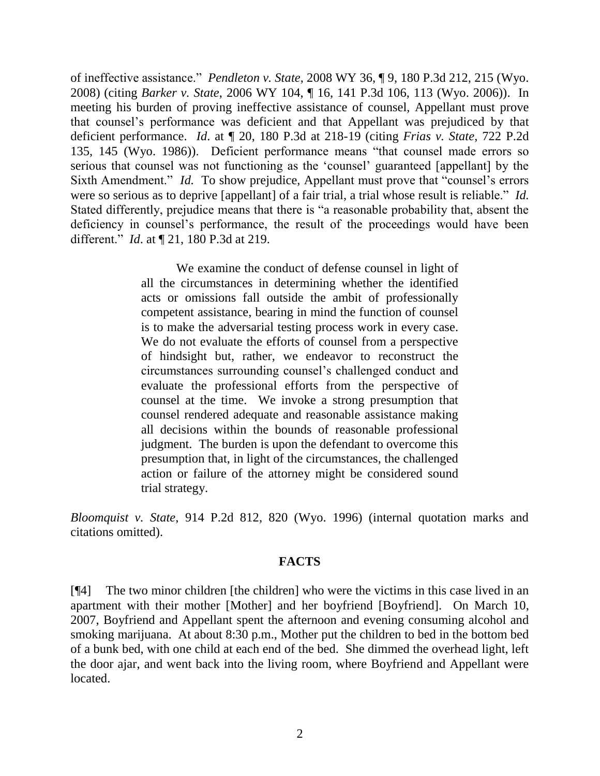of ineffective assistance." *Pendleton v. State*, 2008 WY 36, ¶ 9, 180 P.3d 212, 215 (Wyo. 2008) (citing *Barker v. State*, 2006 WY 104, ¶ 16, 141 P.3d 106, 113 (Wyo. 2006)). In meeting his burden of proving ineffective assistance of counsel, Appellant must prove that counsel"s performance was deficient and that Appellant was prejudiced by that deficient performance. *Id*. at ¶ 20, 180 P.3d at 218-19 (citing *Frias v. State*, 722 P.2d 135, 145 (Wyo. 1986)). Deficient performance means "that counsel made errors so serious that counsel was not functioning as the "counsel" guaranteed [appellant] by the Sixth Amendment." *Id.* To show prejudice, Appellant must prove that "counsel's errors" were so serious as to deprive [appellant] of a fair trial, a trial whose result is reliable." *Id.*  Stated differently, prejudice means that there is "a reasonable probability that, absent the deficiency in counsel's performance, the result of the proceedings would have been different." *Id*. at ¶ 21, 180 P.3d at 219.

> We examine the conduct of defense counsel in light of all the circumstances in determining whether the identified acts or omissions fall outside the ambit of professionally competent assistance, bearing in mind the function of counsel is to make the adversarial testing process work in every case. We do not evaluate the efforts of counsel from a perspective of hindsight but, rather, we endeavor to reconstruct the circumstances surrounding counsel"s challenged conduct and evaluate the professional efforts from the perspective of counsel at the time. We invoke a strong presumption that counsel rendered adequate and reasonable assistance making all decisions within the bounds of reasonable professional judgment. The burden is upon the defendant to overcome this presumption that, in light of the circumstances, the challenged action or failure of the attorney might be considered sound trial strategy.

*Bloomquist v. State*, 914 P.2d 812, 820 (Wyo. 1996) (internal quotation marks and citations omitted).

### **FACTS**

[¶4] The two minor children [the children] who were the victims in this case lived in an apartment with their mother [Mother] and her boyfriend [Boyfriend]. On March 10, 2007, Boyfriend and Appellant spent the afternoon and evening consuming alcohol and smoking marijuana. At about 8:30 p.m., Mother put the children to bed in the bottom bed of a bunk bed, with one child at each end of the bed. She dimmed the overhead light, left the door ajar, and went back into the living room, where Boyfriend and Appellant were located.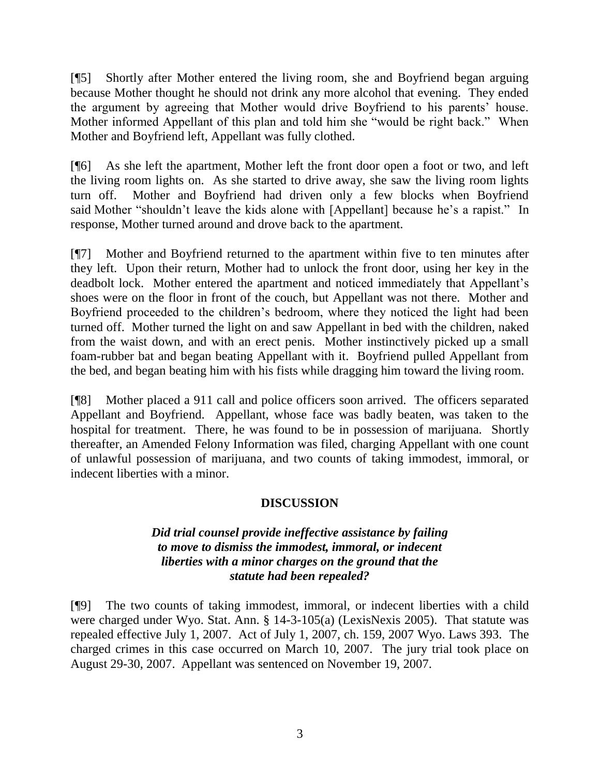[¶5] Shortly after Mother entered the living room, she and Boyfriend began arguing because Mother thought he should not drink any more alcohol that evening. They ended the argument by agreeing that Mother would drive Boyfriend to his parents' house. Mother informed Appellant of this plan and told him she "would be right back." When Mother and Boyfriend left, Appellant was fully clothed.

[¶6] As she left the apartment, Mother left the front door open a foot or two, and left the living room lights on. As she started to drive away, she saw the living room lights turn off. Mother and Boyfriend had driven only a few blocks when Boyfriend said Mother "shouldn't leave the kids alone with [Appellant] because he's a rapist." In response, Mother turned around and drove back to the apartment.

[¶7] Mother and Boyfriend returned to the apartment within five to ten minutes after they left. Upon their return, Mother had to unlock the front door, using her key in the deadbolt lock. Mother entered the apartment and noticed immediately that Appellant"s shoes were on the floor in front of the couch, but Appellant was not there. Mother and Boyfriend proceeded to the children"s bedroom, where they noticed the light had been turned off. Mother turned the light on and saw Appellant in bed with the children, naked from the waist down, and with an erect penis. Mother instinctively picked up a small foam-rubber bat and began beating Appellant with it. Boyfriend pulled Appellant from the bed, and began beating him with his fists while dragging him toward the living room.

[¶8] Mother placed a 911 call and police officers soon arrived. The officers separated Appellant and Boyfriend. Appellant, whose face was badly beaten, was taken to the hospital for treatment. There, he was found to be in possession of marijuana. Shortly thereafter, an Amended Felony Information was filed, charging Appellant with one count of unlawful possession of marijuana, and two counts of taking immodest, immoral, or indecent liberties with a minor.

# **DISCUSSION**

## *Did trial counsel provide ineffective assistance by failing to move to dismiss the immodest, immoral, or indecent liberties with a minor charges on the ground that the statute had been repealed?*

[¶9] The two counts of taking immodest, immoral, or indecent liberties with a child were charged under Wyo. Stat. Ann. § 14-3-105(a) (LexisNexis 2005). That statute was repealed effective July 1, 2007. Act of July 1, 2007, ch. 159, 2007 Wyo. Laws 393. The charged crimes in this case occurred on March 10, 2007. The jury trial took place on August 29-30, 2007. Appellant was sentenced on November 19, 2007.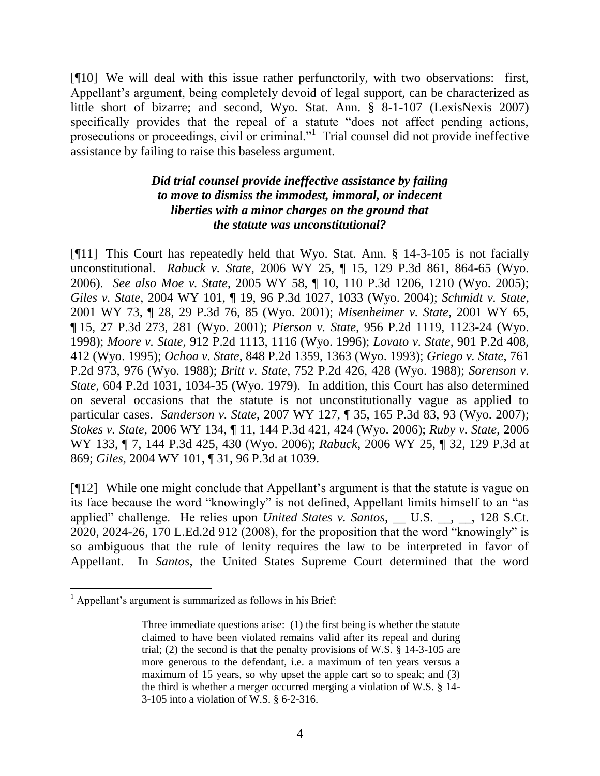[¶10] We will deal with this issue rather perfunctorily, with two observations: first, Appellant's argument, being completely devoid of legal support, can be characterized as little short of bizarre; and second, Wyo. Stat. Ann. § 8-1-107 (LexisNexis 2007) specifically provides that the repeal of a statute "does not affect pending actions, prosecutions or proceedings, civil or criminal."<sup>1</sup> Trial counsel did not provide ineffective assistance by failing to raise this baseless argument.

## *Did trial counsel provide ineffective assistance by failing to move to dismiss the immodest, immoral, or indecent liberties with a minor charges on the ground that the statute was unconstitutional?*

[¶11] This Court has repeatedly held that Wyo. Stat. Ann. § 14-3-105 is not facially unconstitutional. *Rabuck v. State*, 2006 WY 25, ¶ 15, 129 P.3d 861, 864-65 (Wyo. 2006). *See also Moe v. State*, 2005 WY 58, ¶ 10, 110 P.3d 1206, 1210 (Wyo. 2005); *Giles v. State*, 2004 WY 101, ¶ 19, 96 P.3d 1027, 1033 (Wyo. 2004); *Schmidt v. State*, 2001 WY 73, ¶ 28, 29 P.3d 76, 85 (Wyo. 2001); *Misenheimer v. State*, 2001 WY 65, ¶ 15, 27 P.3d 273, 281 (Wyo. 2001); *Pierson v. State*, 956 P.2d 1119, 1123-24 (Wyo. 1998); *Moore v. State*, 912 P.2d 1113, 1116 (Wyo. 1996); *Lovato v. State*, 901 P.2d 408, 412 (Wyo. 1995); *Ochoa v. State*, 848 P.2d 1359, 1363 (Wyo. 1993); *Griego v. State*, 761 P.2d 973, 976 (Wyo. 1988); *Britt v. State*, 752 P.2d 426, 428 (Wyo. 1988); *Sorenson v. State*, 604 P.2d 1031, 1034-35 (Wyo. 1979). In addition, this Court has also determined on several occasions that the statute is not unconstitutionally vague as applied to particular cases. *Sanderson v. State*, 2007 WY 127, ¶ 35, 165 P.3d 83, 93 (Wyo. 2007); *Stokes v. State*, 2006 WY 134, ¶ 11, 144 P.3d 421, 424 (Wyo. 2006); *Ruby v. State*, 2006 WY 133, ¶ 7, 144 P.3d 425, 430 (Wyo. 2006); *Rabuck*, 2006 WY 25, ¶ 32, 129 P.3d at 869; *Giles*, 2004 WY 101, ¶ 31, 96 P.3d at 1039.

[¶12] While one might conclude that Appellant"s argument is that the statute is vague on its face because the word "knowingly" is not defined, Appellant limits himself to an "as applied" challenge. He relies upon *United States v. Santos*, \_\_ U.S. \_\_, \_\_, 128 S.Ct. 2020, 2024-26, 170 L.Ed.2d 912 (2008), for the proposition that the word "knowingly" is so ambiguous that the rule of lenity requires the law to be interpreted in favor of Appellant. In *Santos*, the United States Supreme Court determined that the word

 $<sup>1</sup>$  Appellant's argument is summarized as follows in his Brief:</sup>

Three immediate questions arise: (1) the first being is whether the statute claimed to have been violated remains valid after its repeal and during trial; (2) the second is that the penalty provisions of W.S. § 14-3-105 are more generous to the defendant, i.e. a maximum of ten years versus a maximum of 15 years, so why upset the apple cart so to speak; and (3) the third is whether a merger occurred merging a violation of W.S. § 14- 3-105 into a violation of W.S. § 6-2-316.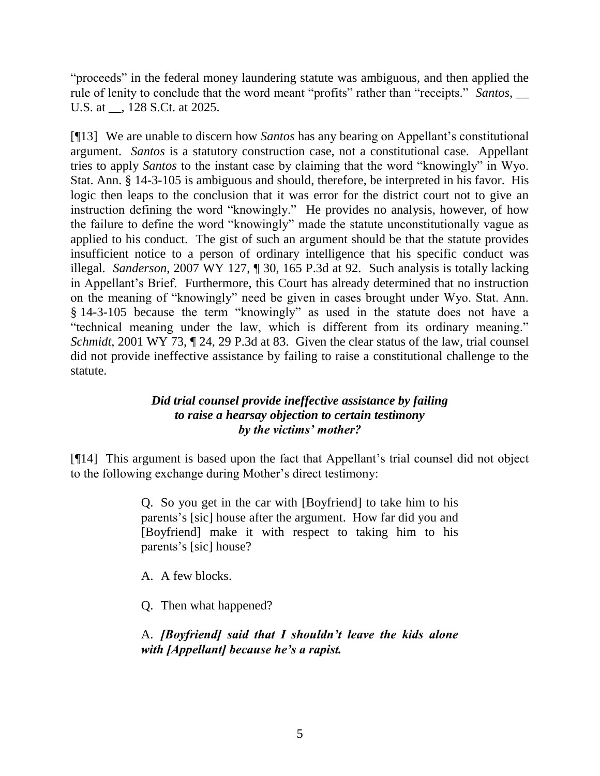"proceeds" in the federal money laundering statute was ambiguous, and then applied the rule of lenity to conclude that the word meant "profits" rather than "receipts." *Santos*, \_\_ U.S. at \_\_, 128 S.Ct. at 2025.

[¶13] We are unable to discern how *Santos* has any bearing on Appellant"s constitutional argument. *Santos* is a statutory construction case, not a constitutional case. Appellant tries to apply *Santos* to the instant case by claiming that the word "knowingly" in Wyo. Stat. Ann. § 14-3-105 is ambiguous and should, therefore, be interpreted in his favor. His logic then leaps to the conclusion that it was error for the district court not to give an instruction defining the word "knowingly." He provides no analysis, however, of how the failure to define the word "knowingly" made the statute unconstitutionally vague as applied to his conduct. The gist of such an argument should be that the statute provides insufficient notice to a person of ordinary intelligence that his specific conduct was illegal. *Sanderson*, 2007 WY 127, ¶ 30, 165 P.3d at 92. Such analysis is totally lacking in Appellant's Brief. Furthermore, this Court has already determined that no instruction on the meaning of "knowingly" need be given in cases brought under Wyo. Stat. Ann. § 14-3-105 because the term "knowingly" as used in the statute does not have a "technical meaning under the law, which is different from its ordinary meaning." *Schmidt*, 2001 WY 73,  $\parallel$  24, 29 P.3d at 83. Given the clear status of the law, trial counsel did not provide ineffective assistance by failing to raise a constitutional challenge to the statute.

## *Did trial counsel provide ineffective assistance by failing to raise a hearsay objection to certain testimony by the victims' mother?*

[¶14] This argument is based upon the fact that Appellant"s trial counsel did not object to the following exchange during Mother"s direct testimony:

> Q. So you get in the car with [Boyfriend] to take him to his parents"s [sic] house after the argument. How far did you and [Boyfriend] make it with respect to taking him to his parents's [sic] house?

A. A few blocks.

Q. Then what happened?

# A. *[Boyfriend] said that I shouldn't leave the kids alone with [Appellant] because he's a rapist.*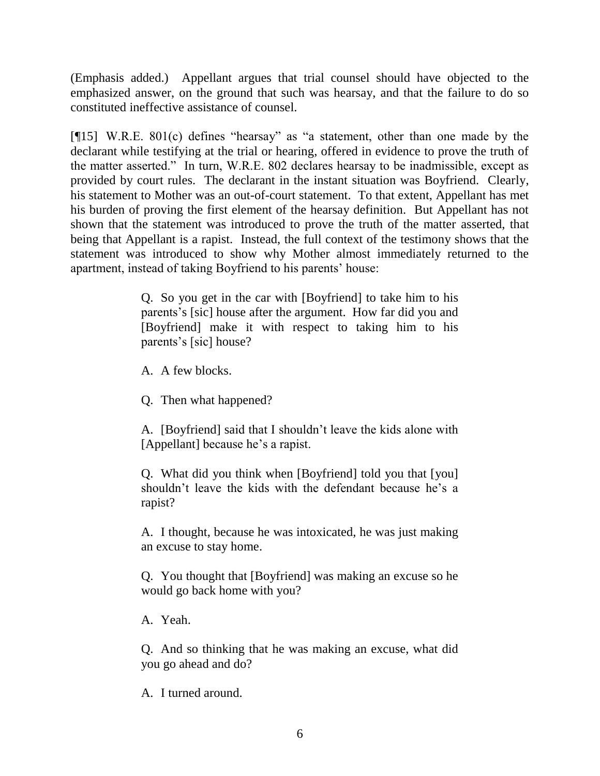(Emphasis added.) Appellant argues that trial counsel should have objected to the emphasized answer, on the ground that such was hearsay, and that the failure to do so constituted ineffective assistance of counsel.

[¶15] W.R.E. 801(c) defines "hearsay" as "a statement, other than one made by the declarant while testifying at the trial or hearing, offered in evidence to prove the truth of the matter asserted." In turn, W.R.E. 802 declares hearsay to be inadmissible, except as provided by court rules. The declarant in the instant situation was Boyfriend. Clearly, his statement to Mother was an out-of-court statement. To that extent, Appellant has met his burden of proving the first element of the hearsay definition. But Appellant has not shown that the statement was introduced to prove the truth of the matter asserted, that being that Appellant is a rapist. Instead, the full context of the testimony shows that the statement was introduced to show why Mother almost immediately returned to the apartment, instead of taking Boyfriend to his parents' house:

> Q. So you get in the car with [Boyfriend] to take him to his parents"s [sic] house after the argument. How far did you and [Boyfriend] make it with respect to taking him to his parents"s [sic] house?

A. A few blocks.

Q. Then what happened?

A. [Boyfriend] said that I shouldn"t leave the kids alone with [Appellant] because he's a rapist.

Q. What did you think when [Boyfriend] told you that [you] shouldn't leave the kids with the defendant because he's a rapist?

A. I thought, because he was intoxicated, he was just making an excuse to stay home.

Q. You thought that [Boyfriend] was making an excuse so he would go back home with you?

A. Yeah.

Q. And so thinking that he was making an excuse, what did you go ahead and do?

A. I turned around.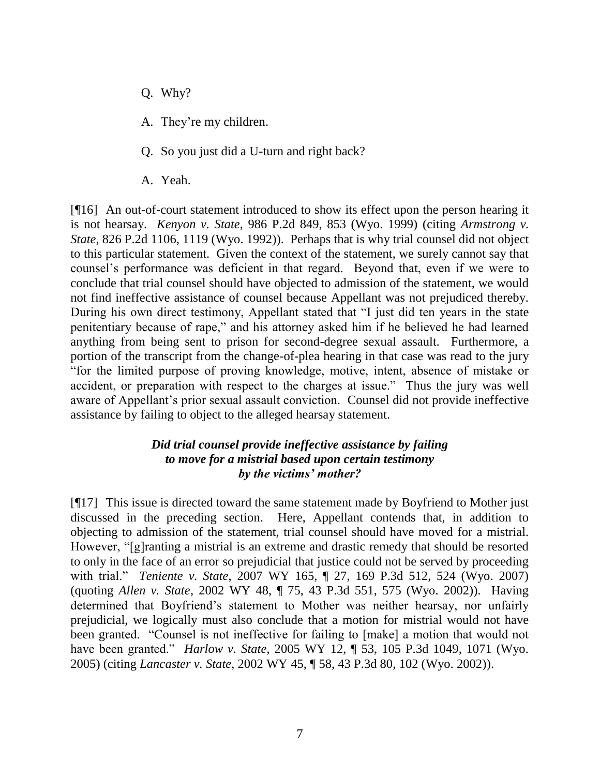- Q. Why?
- A. They"re my children.
- Q. So you just did a U-turn and right back?
- A. Yeah.

[¶16] An out-of-court statement introduced to show its effect upon the person hearing it is not hearsay. *Kenyon v. State*, 986 P.2d 849, 853 (Wyo. 1999) (citing *Armstrong v. State*, 826 P.2d 1106, 1119 (Wyo. 1992)). Perhaps that is why trial counsel did not object to this particular statement. Given the context of the statement, we surely cannot say that counsel"s performance was deficient in that regard. Beyond that, even if we were to conclude that trial counsel should have objected to admission of the statement, we would not find ineffective assistance of counsel because Appellant was not prejudiced thereby. During his own direct testimony, Appellant stated that "I just did ten years in the state penitentiary because of rape," and his attorney asked him if he believed he had learned anything from being sent to prison for second-degree sexual assault. Furthermore, a portion of the transcript from the change-of-plea hearing in that case was read to the jury "for the limited purpose of proving knowledge, motive, intent, absence of mistake or accident, or preparation with respect to the charges at issue." Thus the jury was well aware of Appellant"s prior sexual assault conviction. Counsel did not provide ineffective assistance by failing to object to the alleged hearsay statement.

### *Did trial counsel provide ineffective assistance by failing to move for a mistrial based upon certain testimony by the victims' mother?*

[¶17] This issue is directed toward the same statement made by Boyfriend to Mother just discussed in the preceding section. Here, Appellant contends that, in addition to objecting to admission of the statement, trial counsel should have moved for a mistrial. However, "[g]ranting a mistrial is an extreme and drastic remedy that should be resorted to only in the face of an error so prejudicial that justice could not be served by proceeding with trial." *Teniente v. State*, 2007 WY 165, ¶ 27, 169 P.3d 512, 524 (Wyo. 2007) (quoting *Allen v. State*, 2002 WY 48, ¶ 75, 43 P.3d 551, 575 (Wyo. 2002)). Having determined that Boyfriend's statement to Mother was neither hearsay, nor unfairly prejudicial, we logically must also conclude that a motion for mistrial would not have been granted. "Counsel is not ineffective for failing to [make] a motion that would not have been granted." *Harlow v. State*, 2005 WY 12, ¶ 53, 105 P.3d 1049, 1071 (Wyo. 2005) (citing *Lancaster v. State*, 2002 WY 45, ¶ 58, 43 P.3d 80, 102 (Wyo. 2002)).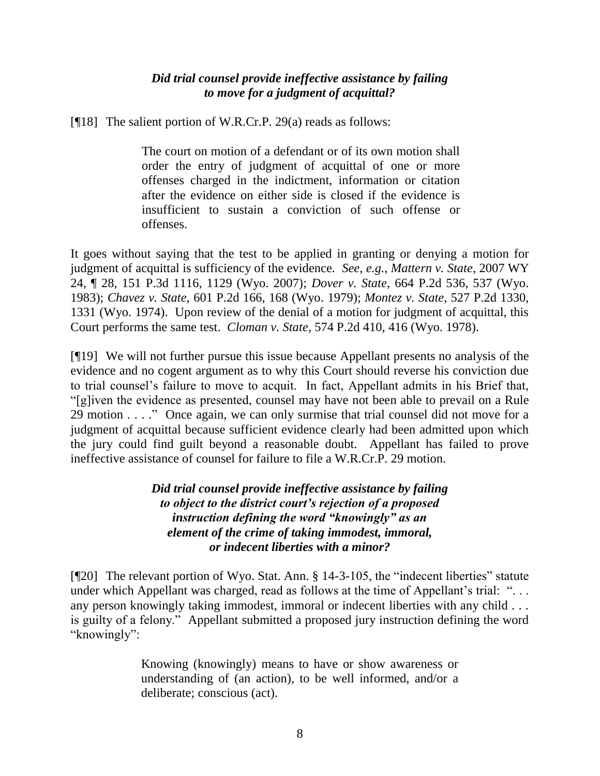## *Did trial counsel provide ineffective assistance by failing to move for a judgment of acquittal?*

[¶18] The salient portion of W.R.Cr.P. 29(a) reads as follows:

The court on motion of a defendant or of its own motion shall order the entry of judgment of acquittal of one or more offenses charged in the indictment, information or citation after the evidence on either side is closed if the evidence is insufficient to sustain a conviction of such offense or offenses.

It goes without saying that the test to be applied in granting or denying a motion for judgment of acquittal is sufficiency of the evidence. *See, e.g.*, *Mattern v. State*, 2007 WY 24, ¶ 28, 151 P.3d 1116, 1129 (Wyo. 2007); *Dover v. State*, 664 P.2d 536, 537 (Wyo. 1983); *Chavez v. State*, 601 P.2d 166, 168 (Wyo. 1979); *Montez v. State*, 527 P.2d 1330, 1331 (Wyo. 1974). Upon review of the denial of a motion for judgment of acquittal, this Court performs the same test. *Cloman v. State*, 574 P.2d 410, 416 (Wyo. 1978).

[¶19] We will not further pursue this issue because Appellant presents no analysis of the evidence and no cogent argument as to why this Court should reverse his conviction due to trial counsel"s failure to move to acquit. In fact, Appellant admits in his Brief that, "[g]iven the evidence as presented, counsel may have not been able to prevail on a Rule 29 motion . . . ." Once again, we can only surmise that trial counsel did not move for a judgment of acquittal because sufficient evidence clearly had been admitted upon which the jury could find guilt beyond a reasonable doubt. Appellant has failed to prove ineffective assistance of counsel for failure to file a W.R.Cr.P. 29 motion.

> *Did trial counsel provide ineffective assistance by failing to object to the district court's rejection of a proposed instruction defining the word "knowingly" as an element of the crime of taking immodest, immoral, or indecent liberties with a minor?*

[¶20] The relevant portion of Wyo. Stat. Ann. § 14-3-105, the "indecent liberties" statute under which Appellant was charged, read as follows at the time of Appellant's trial: "... any person knowingly taking immodest, immoral or indecent liberties with any child . . . is guilty of a felony." Appellant submitted a proposed jury instruction defining the word "knowingly":

> Knowing (knowingly) means to have or show awareness or understanding of (an action), to be well informed, and/or a deliberate; conscious (act).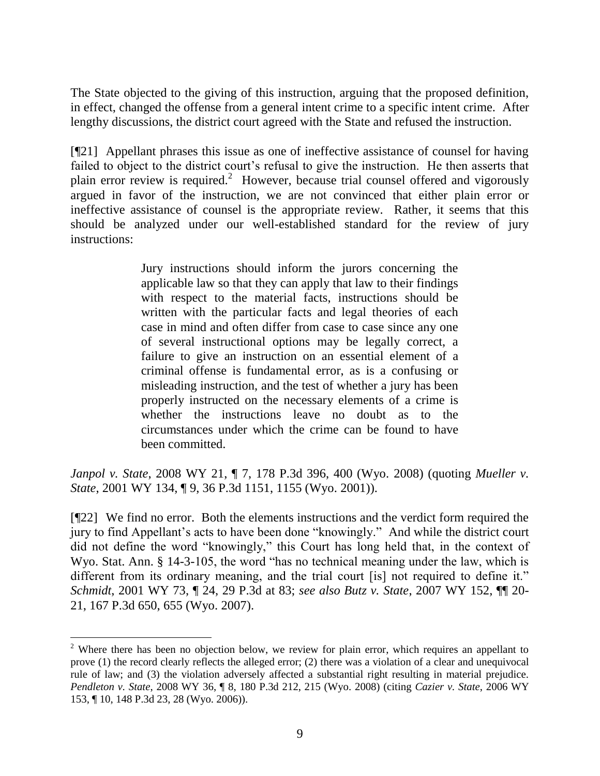The State objected to the giving of this instruction, arguing that the proposed definition, in effect, changed the offense from a general intent crime to a specific intent crime. After lengthy discussions, the district court agreed with the State and refused the instruction.

[¶21] Appellant phrases this issue as one of ineffective assistance of counsel for having failed to object to the district court's refusal to give the instruction. He then asserts that plain error review is required.<sup>2</sup> However, because trial counsel offered and vigorously argued in favor of the instruction, we are not convinced that either plain error or ineffective assistance of counsel is the appropriate review. Rather, it seems that this should be analyzed under our well-established standard for the review of jury instructions:

> Jury instructions should inform the jurors concerning the applicable law so that they can apply that law to their findings with respect to the material facts, instructions should be written with the particular facts and legal theories of each case in mind and often differ from case to case since any one of several instructional options may be legally correct, a failure to give an instruction on an essential element of a criminal offense is fundamental error, as is a confusing or misleading instruction, and the test of whether a jury has been properly instructed on the necessary elements of a crime is whether the instructions leave no doubt as to the circumstances under which the crime can be found to have been committed.

*Janpol v. State*, 2008 WY 21, ¶ 7, 178 P.3d 396, 400 (Wyo. 2008) (quoting *Mueller v. State*, 2001 WY 134, ¶ 9, 36 P.3d 1151, 1155 (Wyo. 2001)).

[¶22] We find no error. Both the elements instructions and the verdict form required the jury to find Appellant"s acts to have been done "knowingly." And while the district court did not define the word "knowingly," this Court has long held that, in the context of Wyo. Stat. Ann. § 14-3-105, the word "has no technical meaning under the law, which is different from its ordinary meaning, and the trial court [is] not required to define it." *Schmidt*, 2001 WY 73, ¶ 24, 29 P.3d at 83; *see also Butz v. State*, 2007 WY 152, ¶¶ 20- 21, 167 P.3d 650, 655 (Wyo. 2007).

 <sup>2</sup> Where there has been no objection below, we review for plain error, which requires an appellant to prove (1) the record clearly reflects the alleged error; (2) there was a violation of a clear and unequivocal rule of law; and (3) the violation adversely affected a substantial right resulting in material prejudice. *Pendleton v. State*, 2008 WY 36, ¶ 8, 180 P.3d 212, 215 (Wyo. 2008) (citing *Cazier v. State*, 2006 WY 153, ¶ 10, 148 P.3d 23, 28 (Wyo. 2006)).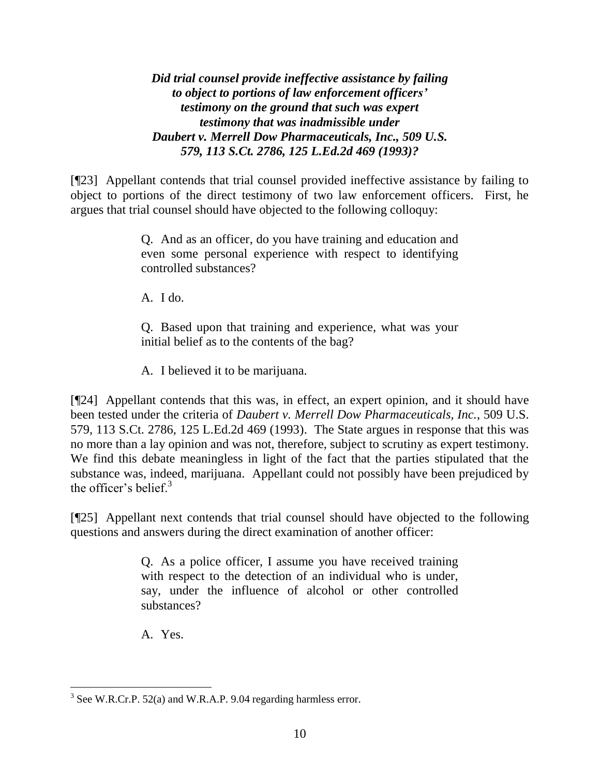*Did trial counsel provide ineffective assistance by failing to object to portions of law enforcement officers' testimony on the ground that such was expert testimony that was inadmissible under Daubert v. Merrell Dow Pharmaceuticals, Inc., 509 U.S. 579, 113 S.Ct. 2786, 125 L.Ed.2d 469 (1993)?*

[¶23] Appellant contends that trial counsel provided ineffective assistance by failing to object to portions of the direct testimony of two law enforcement officers. First, he argues that trial counsel should have objected to the following colloquy:

> Q. And as an officer, do you have training and education and even some personal experience with respect to identifying controlled substances?

A. I do.

Q. Based upon that training and experience, what was your initial belief as to the contents of the bag?

A. I believed it to be marijuana.

[¶24] Appellant contends that this was, in effect, an expert opinion, and it should have been tested under the criteria of *Daubert v. Merrell Dow Pharmaceuticals, Inc.*, 509 U.S. 579, 113 S.Ct. 2786, 125 L.Ed.2d 469 (1993). The State argues in response that this was no more than a lay opinion and was not, therefore, subject to scrutiny as expert testimony. We find this debate meaningless in light of the fact that the parties stipulated that the substance was, indeed, marijuana. Appellant could not possibly have been prejudiced by the officer's belief. $3$ 

[¶25] Appellant next contends that trial counsel should have objected to the following questions and answers during the direct examination of another officer:

> Q. As a police officer, I assume you have received training with respect to the detection of an individual who is under, say, under the influence of alcohol or other controlled substances?

A. Yes.

  $3$  See W.R.Cr.P. 52(a) and W.R.A.P. 9.04 regarding harmless error.